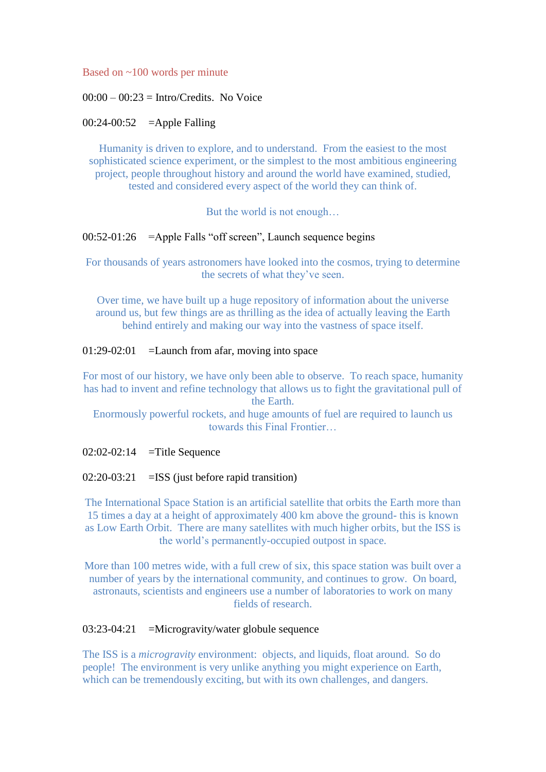Based on ~100 words per minute

### $00:00 - 00:23 = Intro/Credits$ . No Voice

### $00:24-00:52$  =Apple Falling

Humanity is driven to explore, and to understand. From the easiest to the most sophisticated science experiment, or the simplest to the most ambitious engineering project, people throughout history and around the world have examined, studied, tested and considered every aspect of the world they can think of.

But the world is not enough…

# 00:52-01:26 =Apple Falls "off screen", Launch sequence begins

For thousands of years astronomers have looked into the cosmos, trying to determine the secrets of what they've seen.

Over time, we have built up a huge repository of information about the universe around us, but few things are as thrilling as the idea of actually leaving the Earth behind entirely and making our way into the vastness of space itself.

### $01:29-02:01$  = Launch from afar, moving into space

For most of our history, we have only been able to observe. To reach space, humanity has had to invent and refine technology that allows us to fight the gravitational pull of the Earth.

Enormously powerful rockets, and huge amounts of fuel are required to launch us towards this Final Frontier…

 $02:02-02:14$  =Title Sequence

#### $02:20-03:21$  = ISS (just before rapid transition)

The International Space Station is an artificial satellite that orbits the Earth more than 15 times a day at a height of approximately 400 km above the ground- this is known as Low Earth Orbit. There are many satellites with much higher orbits, but the ISS is the world's permanently-occupied outpost in space.

More than 100 metres wide, with a full crew of six, this space station was built over a number of years by the international community, and continues to grow. On board, astronauts, scientists and engineers use a number of laboratories to work on many fields of research.

# 03:23-04:21 =Microgravity/water globule sequence

The ISS is a *microgravity* environment: objects, and liquids, float around. So do people! The environment is very unlike anything you might experience on Earth, which can be tremendously exciting, but with its own challenges, and dangers.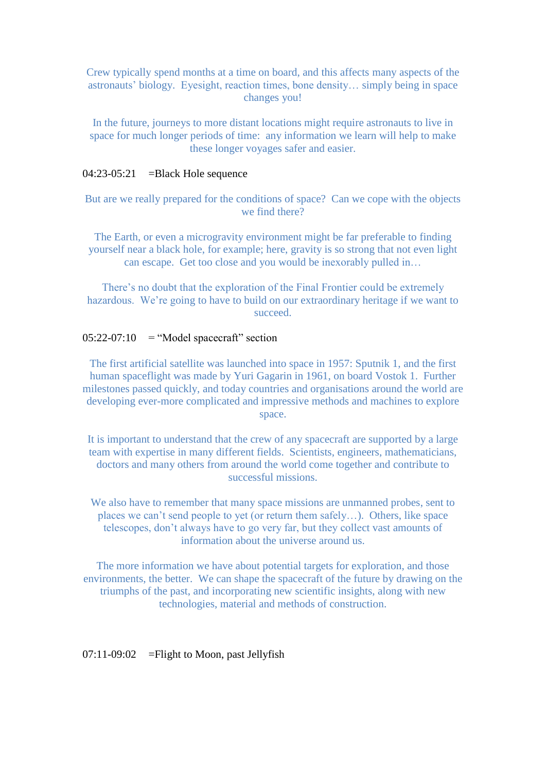Crew typically spend months at a time on board, and this affects many aspects of the astronauts' biology. Eyesight, reaction times, bone density… simply being in space changes you!

In the future, journeys to more distant locations might require astronauts to live in space for much longer periods of time: any information we learn will help to make these longer voyages safer and easier.

### 04:23-05:21 = Black Hole sequence

But are we really prepared for the conditions of space? Can we cope with the objects we find there?

The Earth, or even a microgravity environment might be far preferable to finding yourself near a black hole, for example; here, gravity is so strong that not even light can escape. Get too close and you would be inexorably pulled in…

There's no doubt that the exploration of the Final Frontier could be extremely hazardous. We're going to have to build on our extraordinary heritage if we want to succeed.

# $05:22-07:10$  = "Model spacecraft" section

The first artificial satellite was launched into space in 1957: Sputnik 1, and the first human spaceflight was made by Yuri Gagarin in 1961, on board Vostok 1. Further milestones passed quickly, and today countries and organisations around the world are developing ever-more complicated and impressive methods and machines to explore space.

It is important to understand that the crew of any spacecraft are supported by a large team with expertise in many different fields. Scientists, engineers, mathematicians, doctors and many others from around the world come together and contribute to successful missions.

We also have to remember that many space missions are unmanned probes, sent to places we can't send people to yet (or return them safely…). Others, like space telescopes, don't always have to go very far, but they collect vast amounts of information about the universe around us.

The more information we have about potential targets for exploration, and those environments, the better. We can shape the spacecraft of the future by drawing on the triumphs of the past, and incorporating new scientific insights, along with new technologies, material and methods of construction.

# $07:11-09:02$  = Flight to Moon, past Jellyfish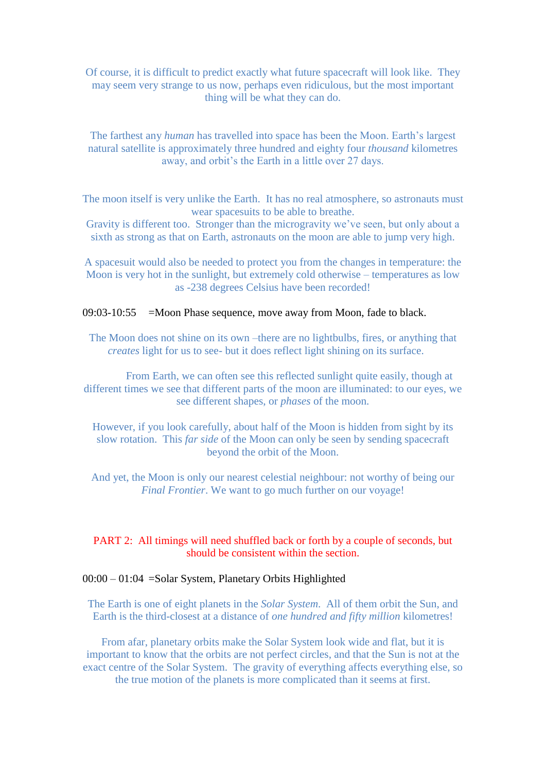Of course, it is difficult to predict exactly what future spacecraft will look like. They may seem very strange to us now, perhaps even ridiculous, but the most important thing will be what they can do.

The farthest any *human* has travelled into space has been the Moon. Earth's largest natural satellite is approximately three hundred and eighty four *thousand* kilometres away, and orbit's the Earth in a little over 27 days.

The moon itself is very unlike the Earth. It has no real atmosphere, so astronauts must wear spacesuits to be able to breathe.

Gravity is different too. Stronger than the microgravity we've seen, but only about a sixth as strong as that on Earth, astronauts on the moon are able to jump very high.

A spacesuit would also be needed to protect you from the changes in temperature: the Moon is very hot in the sunlight, but extremely cold otherwise – temperatures as low as -238 degrees Celsius have been recorded!

09:03-10:55 =Moon Phase sequence, move away from Moon, fade to black.

The Moon does not shine on its own –there are no lightbulbs, fires, or anything that *creates* light for us to see- but it does reflect light shining on its surface.

From Earth, we can often see this reflected sunlight quite easily, though at different times we see that different parts of the moon are illuminated: to our eyes, we see different shapes, or *phases* of the moon.

However, if you look carefully, about half of the Moon is hidden from sight by its slow rotation. This *far side* of the Moon can only be seen by sending spacecraft beyond the orbit of the Moon.

And yet, the Moon is only our nearest celestial neighbour: not worthy of being our *Final Frontier*. We want to go much further on our voyage!

# PART 2: All timings will need shuffled back or forth by a couple of seconds, but should be consistent within the section.

#### 00:00 – 01:04 =Solar System, Planetary Orbits Highlighted

The Earth is one of eight planets in the *Solar System*. All of them orbit the Sun, and Earth is the third-closest at a distance of *one hundred and fifty million* kilometres!

From afar, planetary orbits make the Solar System look wide and flat, but it is important to know that the orbits are not perfect circles, and that the Sun is not at the exact centre of the Solar System. The gravity of everything affects everything else, so the true motion of the planets is more complicated than it seems at first.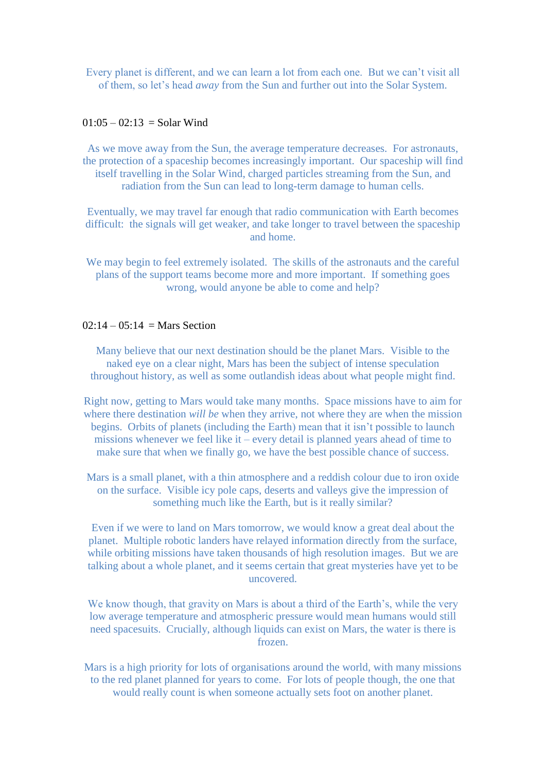Every planet is different, and we can learn a lot from each one. But we can't visit all of them, so let's head *away* from the Sun and further out into the Solar System.

# $01:05 - 02:13 =$ Solar Wind

As we move away from the Sun, the average temperature decreases. For astronauts, the protection of a spaceship becomes increasingly important. Our spaceship will find itself travelling in the Solar Wind, charged particles streaming from the Sun, and radiation from the Sun can lead to long-term damage to human cells.

Eventually, we may travel far enough that radio communication with Earth becomes difficult: the signals will get weaker, and take longer to travel between the spaceship and home.

We may begin to feel extremely isolated. The skills of the astronauts and the careful plans of the support teams become more and more important. If something goes wrong, would anyone be able to come and help?

# $02:14 - 05:14 = \text{Mars Section}$

Many believe that our next destination should be the planet Mars. Visible to the naked eye on a clear night, Mars has been the subject of intense speculation throughout history, as well as some outlandish ideas about what people might find.

Right now, getting to Mars would take many months. Space missions have to aim for where there destination *will be* when they arrive, not where they are when the mission begins. Orbits of planets (including the Earth) mean that it isn't possible to launch missions whenever we feel like it – every detail is planned years ahead of time to make sure that when we finally go, we have the best possible chance of success.

Mars is a small planet, with a thin atmosphere and a reddish colour due to iron oxide on the surface. Visible icy pole caps, deserts and valleys give the impression of something much like the Earth, but is it really similar?

Even if we were to land on Mars tomorrow, we would know a great deal about the planet. Multiple robotic landers have relayed information directly from the surface, while orbiting missions have taken thousands of high resolution images. But we are talking about a whole planet, and it seems certain that great mysteries have yet to be uncovered.

We know though, that gravity on Mars is about a third of the Earth's, while the very low average temperature and atmospheric pressure would mean humans would still need spacesuits. Crucially, although liquids can exist on Mars, the water is there is frozen.

Mars is a high priority for lots of organisations around the world, with many missions to the red planet planned for years to come. For lots of people though, the one that would really count is when someone actually sets foot on another planet.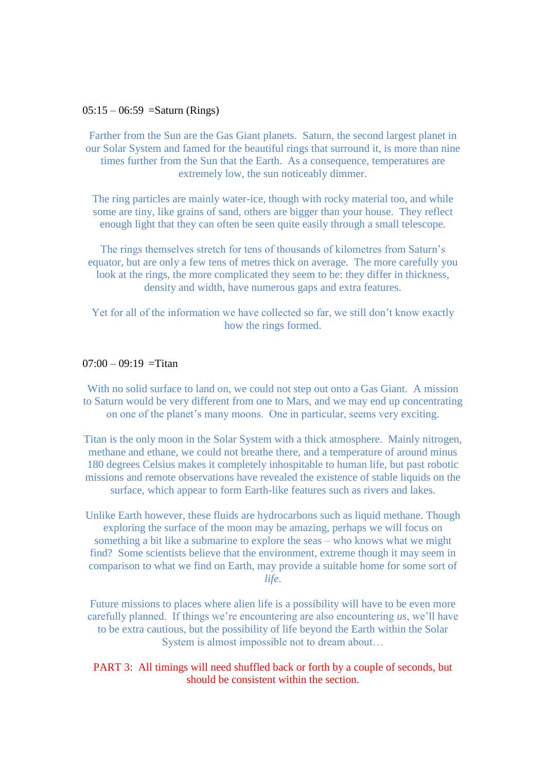#### $05:15 - 06:59 =$ Saturn (Rings)

Farther from the Sun are the Gas Giant planets. Saturn, the second largest planet in our Solar System and famed for the beautiful rings that surround it, is more than nine times further from the Sun that the Earth. As a consequence, temperatures are extremely low, the sun noticeably dimmer.

The ring particles are mainly water-ice, though with rocky material too, and while some are tiny, like grains of sand, others are bigger than your house. They reflect enough light that they can often be seen quite easily through a small telescope.

The rings themselves stretch for tens of thousands of kilometres from Saturn's equator, but are only a few tens of metres thick on average. The more carefully you look at the rings, the more complicated they seem to be: they differ in thickness, density and width, have numerous gaps and extra features.

Yet for all of the information we have collected so far, we still don't know exactly how the rings formed.

#### $07:00 - 09:19 =$ Titan

With no solid surface to land on, we could not step out onto a Gas Giant. A mission to Saturn would be very different from one to Mars, and we may end up concentrating on one of the planet's many moons. One in particular, seems very exciting.

Titan is the only moon in the Solar System with a thick atmosphere. Mainly nitrogen, methane and ethane, we could not breathe there, and a temperature of around minus 180 degrees Celsius makes it completely inhospitable to human life, but past robotic missions and remote observations have revealed the existence of stable liquids on the surface, which appear to form Earth-like features such as rivers and lakes.

Unlike Earth however, these fluids are hydrocarbons such as liquid methane. Though exploring the surface of the moon may be amazing, perhaps we will focus on something a bit like a submarine to explore the seas – who knows what we might find? Some scientists believe that the environment, extreme though it may seem in comparison to what we find on Earth, may provide a suitable home for some sort of *life*.

Future missions to places where alien life is a possibility will have to be even more carefully planned. If things we're encountering are also encountering *us*, we'll have to be extra cautious, but the possibility of life beyond the Earth within the Solar System is almost impossible not to dream about…

PART 3: All timings will need shuffled back or forth by a couple of seconds, but should be consistent within the section.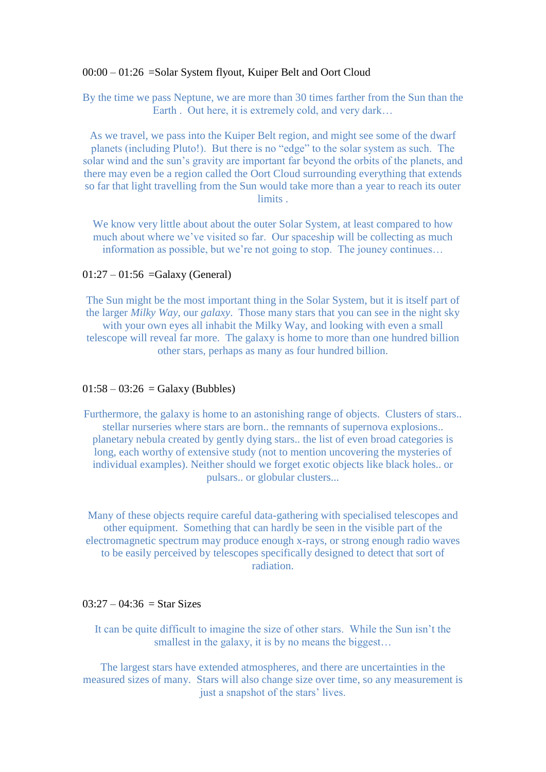#### 00:00 – 01:26 =Solar System flyout, Kuiper Belt and Oort Cloud

By the time we pass Neptune, we are more than 30 times farther from the Sun than the Earth . Out here, it is extremely cold, and very dark...

As we travel, we pass into the Kuiper Belt region, and might see some of the dwarf planets (including Pluto!). But there is no "edge" to the solar system as such. The solar wind and the sun's gravity are important far beyond the orbits of the planets, and there may even be a region called the Oort Cloud surrounding everything that extends so far that light travelling from the Sun would take more than a year to reach its outer limits .

We know very little about about the outer Solar System, at least compared to how much about where we've visited so far. Our spaceship will be collecting as much information as possible, but we're not going to stop. The jouney continues…

### $01:27 - 01:56 =$ Galaxy (General)

The Sun might be the most important thing in the Solar System, but it is itself part of the larger *Milky Way,* our *galaxy*. Those many stars that you can see in the night sky with your own eyes all inhabit the Milky Way, and looking with even a small telescope will reveal far more. The galaxy is home to more than one hundred billion other stars, perhaps as many as four hundred billion.

### $01:58 - 03:26 =$ Galaxy (Bubbles)

Furthermore, the galaxy is home to an astonishing range of objects. Clusters of stars.. stellar nurseries where stars are born.. the remnants of supernova explosions.. planetary nebula created by gently dying stars.. the list of even broad categories is long, each worthy of extensive study (not to mention uncovering the mysteries of individual examples). Neither should we forget exotic objects like black holes.. or pulsars.. or globular clusters...

Many of these objects require careful data-gathering with specialised telescopes and other equipment. Something that can hardly be seen in the visible part of the electromagnetic spectrum may produce enough x-rays, or strong enough radio waves to be easily perceived by telescopes specifically designed to detect that sort of radiation.

### $03:27 - 04:36 =$ Star Sizes

It can be quite difficult to imagine the size of other stars. While the Sun isn't the smallest in the galaxy, it is by no means the biggest...

The largest stars have extended atmospheres, and there are uncertainties in the measured sizes of many. Stars will also change size over time, so any measurement is just a snapshot of the stars' lives.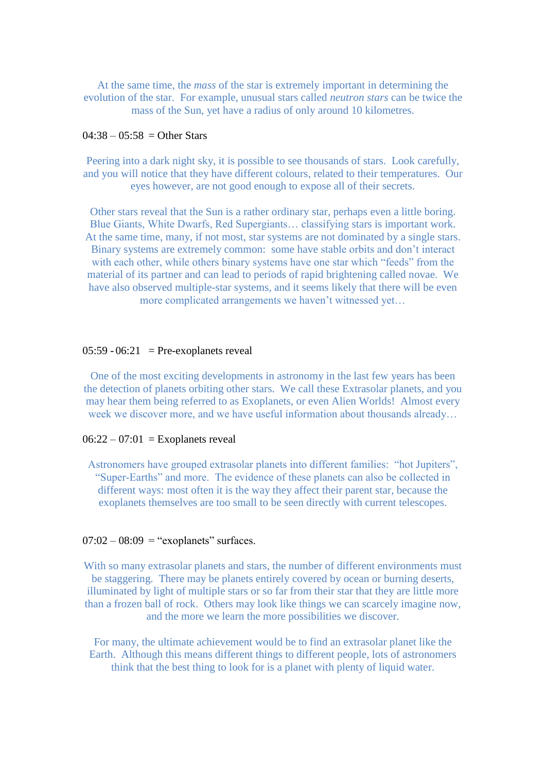At the same time, the *mass* of the star is extremely important in determining the evolution of the star. For example, unusual stars called *neutron stars* can be twice the mass of the Sun, yet have a radius of only around 10 kilometres.

# $04:38 - 05:58 =$  Other Stars

Peering into a dark night sky, it is possible to see thousands of stars. Look carefully, and you will notice that they have different colours, related to their temperatures. Our eyes however, are not good enough to expose all of their secrets.

Other stars reveal that the Sun is a rather ordinary star, perhaps even a little boring. Blue Giants, White Dwarfs, Red Supergiants… classifying stars is important work. At the same time, many, if not most, star systems are not dominated by a single stars. Binary systems are extremely common: some have stable orbits and don't interact with each other, while others binary systems have one star which "feeds" from the material of its partner and can lead to periods of rapid brightening called novae. We have also observed multiple-star systems, and it seems likely that there will be even more complicated arrangements we haven't witnessed yet…

#### $05:59 - 06:21$  = Pre-exoplanets reveal

One of the most exciting developments in astronomy in the last few years has been the detection of planets orbiting other stars. We call these Extrasolar planets, and you may hear them being referred to as Exoplanets, or even Alien Worlds! Almost every week we discover more, and we have useful information about thousands already...

### $06:22 - 07:01$  = Exoplanets reveal

Astronomers have grouped extrasolar planets into different families: "hot Jupiters", "Super-Earths" and more. The evidence of these planets can also be collected in different ways: most often it is the way they affect their parent star, because the exoplanets themselves are too small to be seen directly with current telescopes.

### $07:02 - 08:09$  = "exoplanets" surfaces.

With so many extrasolar planets and stars, the number of different environments must be staggering. There may be planets entirely covered by ocean or burning deserts, illuminated by light of multiple stars or so far from their star that they are little more than a frozen ball of rock. Others may look like things we can scarcely imagine now, and the more we learn the more possibilities we discover.

For many, the ultimate achievement would be to find an extrasolar planet like the Earth. Although this means different things to different people, lots of astronomers think that the best thing to look for is a planet with plenty of liquid water.